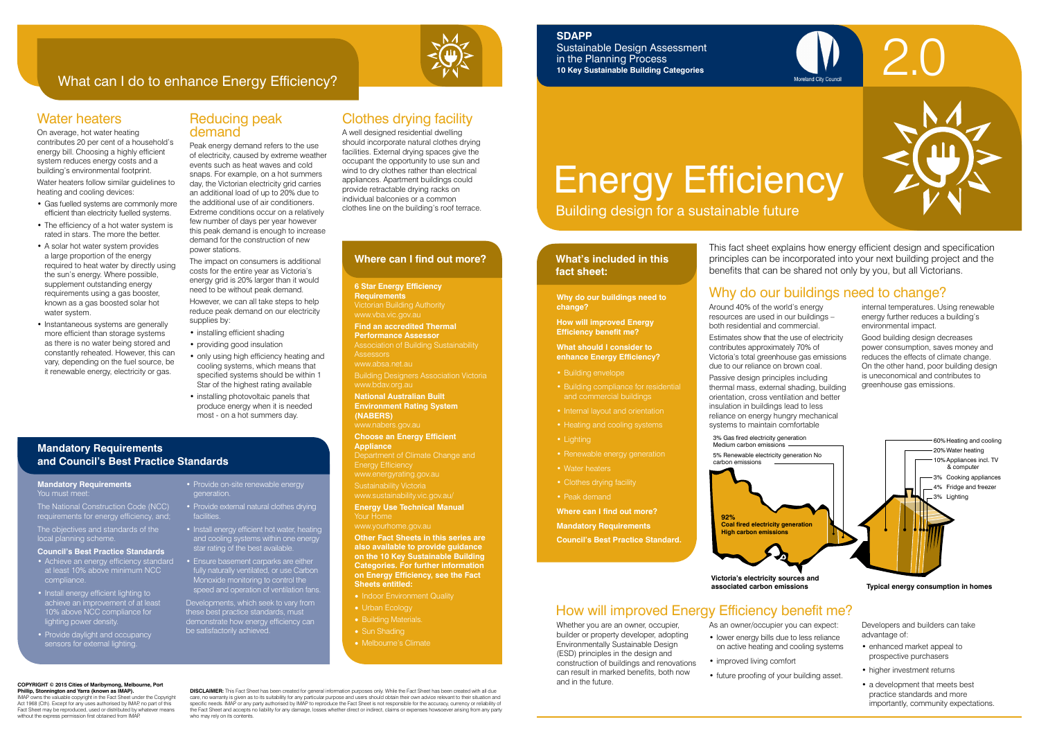

### What can I do to enhance Energy Efficiency?

# Energy Efficiency

Building design for a sustainable future

#### **What's included in this fact sheet:**

2.0

### Why do our buildings need to change?

Around 40% of the world's energy resources are used in our buildings – both residential and commercial.

Estimates show that the use of electricity contributes approximately 70% of Victoria's total greenhouse gas emissions due to our reliance on brown coal.

Passive design principles including thermal mass, external shading, building orientation, cross ventilation and better insulation in buildings lead to less reliance on energy hungry mechanical systems to maintain comfortable

internal temperatures. Using renewable energy further reduces a building's environmental impact.

Good building design decreases power consumption, saves money and reduces the effects of climate change. On the other hand, poor building design is uneconomical and contributes to greenhouse gas emissions.

Whether you are an owner, occupier, builder or property developer, adopting Environmentally Sustainable Design (ESD) principles in the design and construction of buildings and renovations can result in marked benefits, both now and in the future.

As an owner/occupier you can expect: on active heating and cooling systems

**Typical energy consumption in homes** 

- lower energy bills due to less reliance
	-
	- improved living comfort
	- future proofing of your building asset.

Developers and builders can take advantage of:

- enhanced market appeal to prospective purchasers
- higher investment returns
- a development that meets best practice standards and more importantly, community expectations.

### How will improved Energy Efficiency benefit me?

#### **Why do our buildings need to change?**

**How will improved Energy Efficiency benefit me?**

#### **What should I consider to enhance Energy Efficiency?**

- Building envelope
- and commercial buildings
- Internal layout and orientation
- 
- Lighting
- 
- Water heaters
- Clothes drying facility
- Peak demand
- **Where can I find out more?**
- **Mandatory Requirements**
- **Council's Best Practice Standard.**



- installing efficient shading
- providing good insulation
- only using high efficiency heating and cooling systems, which means that specified systems should be within 1 Star of the highest rating available
- installing photovoltaic panels that produce energy when it is needed most - on a hot summers day.

**Victoria's electricity sources and** 

A well designed residential dwelling should incorporate natural clothes drying facilities. External drying spaces give the occupant the opportunity to use sun and wind to dry clothes rather than electrical appliances. Apartment buildings could provide retractable drying racks on individual balconies or a common clothes line on the building's roof terrace.

> This fact sheet explains how energy efficient design and specification principles can be incorporated into your next building project and the benefits that can be shared not only by you, but all Victorians.

### **SDAPP**

Sustainable Design Assessment in the Planning Process **10 Key Sustainable Building Categories**

### Water heaters

On average, hot water heating contributes 20 per cent of a household's energy bill. Choosing a highly efficient system reduces energy costs and a building's environmental footprint.

- Indoor Environment Quality
- Urban Ecology
- Building Materials.
- Sun Shading
- Melbourne's Climate

Water heaters follow similar guidelines to heating and cooling devices:

**Phillip, Stonnington and Yarra (known as IMAP).**  IMAP owns the valuable copyright in the Fact Sheet under the Copyright Act 1968 (Cth). Except for any uses authorised by IMAP, no part of this Fact Sheet may be reproduced, used or distributed by whatever means without the express permission first obtained from IMA

**DISCLAIMER:** This Fact Sheet has been created for general information purposes only. While the Fact Sheet has been created with all due care, no warranty is given as to its suitability for any particular purpose and users should obtain their own advice relevant to their situation and<br>specific needs. IMAP or any party authorised by IMAP to reproduce the Fac the Fact Sheet and accepts no liability for any damage, losses whether direct or indirect, claims or expenses howsoever arising from any party who may rely on its contents.

- Gas fuelled systems are commonly more efficient than electricity fuelled systems.
- The efficiency of a hot water system is rated in stars. The more the better.
- A solar hot water system provides a large proportion of the energy required to heat water by directly using the sun's energy. Where possible, supplement outstanding energy requirements using a gas booster, known as a gas boosted solar hot water system.
- Instantaneous systems are generally more efficient than storage systems as there is no water being stored and constantly reheated. However, this can vary, depending on the fuel source, be it renewable energy, electricity or gas.

#### **Mandatory Requirements** You must meet

- Achieve an energy efficiency standard at least 10% above minimum NCC compliance.
- Install energy efficient lighting to achieve an improvement of at least 10% above NCC compliance for lighting power density.
- Provide daylight and occupancy sensors for external lighting.

### Reducing peak demand

Peak energy demand refers to the use of electricity, caused by extreme weather events such as heat waves and cold snaps. For example, on a hot summers day, the Victorian electricity grid carries an additional load of up to 20% due to the additional use of air conditioners. Extreme conditions occur on a relatively few number of days per year however this peak demand is enough to increase demand for the construction of new power stations.

The impact on consumers is additional costs for the entire year as Victoria's energy grid is 20% larger than it would need to be without peak demand. However, we can all take steps to help reduce peak demand on our electricity supplies by:

### Clothes drying facility

- **6 Star Energy Efficiency Requirements**
- Victorian Building Authority www.vba.vic.gov.au
- **Find an accredited Thermal**
- **Performance Assessor**  Association of Building Sustainability
- **Assessors** www.absa.net.au
- Building Designers Association Victoria www.bdav.org.au
- **National Australian Built Environment Rating System (NABERS)** 
	-
- **Choose an Energy Efficient**
- 
- 
- www.sustainability.vic.gov.au/
- **Energy Use Technical Manual** Your Home
- www.yourhome.gov.au

**Appliance**

www.energyrating.gov.au



**Other Fact Sheets in this series are also available to provide guidance on the 10 Key Sustainable Building Categories. For further information on Energy Efficiency, see the Fact Sheets entitled:**

#### **Where can I find out more?**

**COPYRIGHT © 2015 Cities of Maribyrnong, Melbourne, Port** 

### **Mandatory Requirements and Council's Best Practice Standards**

The National Construction Code (NCC) requirements for energy efficiency, and;

The objectives and standards of the local planning scheme.

#### **Council's Best Practice Standards**

#### • Provide on-site renewable energy generation.

- Provide external natural clothes drying **facilities**
- Install energy efficient hot water, heating and cooling systems within one energy star rating of the best available.
- Ensure basement carparks are either fully naturally ventilated, or use Carbon Monoxide monitoring to control the speed and operation of ventilation fans.

Developments, which seek to vary from these best practice standards, must demonstrate how energy efficiency can be satisfactorily achieved.